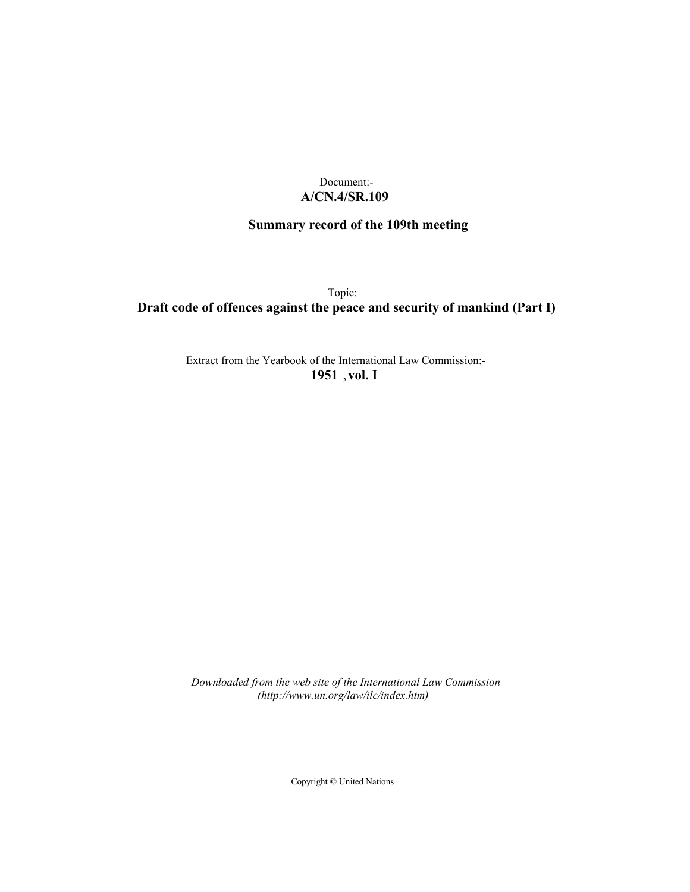# Document:- **A/CN.4/SR.109**

# **Summary record of the 109th meeting**

Topic:

# **Draft code of offences against the peace and security of mankind (Part I)**

Extract from the Yearbook of the International Law Commission:- **1951** ,**vol. I**

*Downloaded from the web site of the International Law Commission (http://www.un.org/law/ilc/index.htm)*

Copyright © United Nations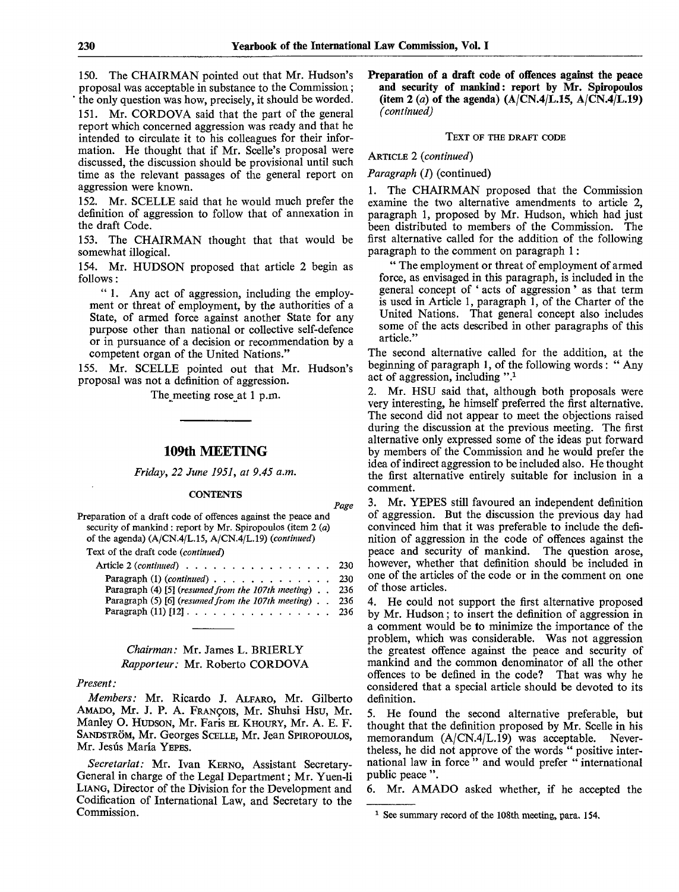*Page*

150. The CHAIRMAN pointed out that Mr. Hudson's proposal was acceptable in substance to the Commission; the only question was how, precisely, it should be worded.

151. Mr. CORDOVA said that the part of the general report which concerned aggression was ready and that he intended to circulate it to his colleagues for their information. He thought that if Mr. Scelle's proposal were discussed, the discussion should be provisional until such time as the relevant passages of the general report on aggression were known.

152. Mr. SCELLE said that he would much prefer the definition of aggression to follow that of annexation in the draft Code.

153. The CHAIRMAN thought that that would be somewhat illogical.

154. Mr. HUDSON proposed that article 2 begin as follows:

" 1. Any act of aggression, including the employment or threat of employment, by the authorities of a State, of armed force against another State for any purpose other than national or collective self-defence or in pursuance of a decision or recommendation by a competent organ of the United Nations."

155. Mr. SCELLE pointed out that Mr. Hudson's proposal was not a definition of aggression.

The meeting rose at 1 p.m.

## 109th MEETING

*Friday, 22 June 1951, at 9.45 a.m.*

#### **CONTENTS**

Preparation of a draft code of offences against the peace and security of mankind : report by Mr. Spiropoulos (item 2 *(a)* of the agenda) (A/CN.4/L.15, A/CN.4/L.19) *(continued)* Text of the draft code *(continued)* Article 2 (*continued*) . . . . . . . . . . . . . . . . 230<br>Paragraph (1) (*continued*) . . . . . . . . . . . . . . 230 Paragraph (1) (continued) . . . . . . . . . . . . . . 230<br>Paragraph (4) [5] (resumed from the 107th meeting) . . 236 Paragraph (4) [5] *(resumed from the 107th meeting) . .* 236 Paragraph (5) [6] *(resumed from the 107th meeting) . .* 236

## *Chairman:* Mr. James L. BRIERLY *Rapporteur:* Mr. Roberto CORDOVA

Paragraph (11) [12]  $\ldots$ , . . . . . . . . . . . . . .

#### *Present:*

*Members:* Mr. Ricardo J. ALFARO, Mr. Gilberto AMADO, Mr. J. P. A. FRANCOIS, Mr. Shuhsi Hsu, Mr. Manley O. HUDSON, Mr. Faris EL KHOURY, Mr. A. E. F. SANDSTRÖM, Mr. Georges SCELLE, Mr. Jean SPIROPOULOS, Mr. Jesús María YEPES.

*Secretariat:* Mr. Ivan KERNO, Assistant Secretary-General in charge of the Legal Department; Mr. Yuen-li LIANG, Director of the Division for the Development and Codification of International Law, and Secretary to the Commission.

**Preparation of a draft code of offences against the peace and security of mankind: report by Mr. Spiropoulos (item 2** (*a*) of the agenda)  $(A/CN.4/L.15, A/CN.4/L.19)$ *(continued)*

#### TEXT OF THE DRAFT CODE

### ARTICLE 2 *(continued)*

#### *Paragraph* (1) (continued)

1. The CHAIRMAN proposed that the Commission examine the two alternative amendments to article 2, paragraph 1, proposed by Mr. Hudson, which had just been distributed to members of the Commission. The first alternative called for the addition of the following paragraph to the comment on paragraph 1:

" The employment or threat of employment of armed force, as envisaged in this paragraph, is included in the general concept of ' acts of aggression ' as that term is used in Article 1, paragraph 1, of the Charter of the United Nations. That general concept also includes some of the acts described in other paragraphs of this article."

The second alternative called for the addition, at the beginning of paragraph 1, of the following words : " Any act of aggression, including ".<sup>1</sup>

2. Mr. HSU said that, although both proposals were very interesting, he himself preferred the first alternative. The second did not appear to meet the objections raised during the discussion at the previous meeting. The first alternative only expressed some of the ideas put forward by members of the Commission and he would prefer the idea of indirect aggression to be included also. He thought the first alternative entirely suitable for inclusion in a comment.

3. Mr. YEPES still favoured an independent definition of aggression. But the discussion the previous day had convinced him that it was preferable to include the definition of aggression in the code of offences against the peace and security of mankind. The question arose, however, whether that definition should be included in one of the articles of the code or in the comment on one of those articles.

4. He could not support the first alternative proposed by Mr. Hudson; to insert the definition of aggression in a comment would be to minimize the importance of the problem, which was considerable. Was not aggression the greatest offence against the peace and security of mankind and the common denominator of all the other offences to be defined in the code? That was why he considered that a special article should be devoted to its definition.

5. He found the second alternative preferable, but thought that the definition proposed by Mr. Scelle in his memorandum (A/CN.4/L.19) was acceptable. Nevertheless, he did not approve of the words " positive international law in force" and would prefer "international public peace ".

6. Mr. AMADO asked whether, if he accepted the

<sup>1</sup> See summary record of the 108th meeting, para. **154.**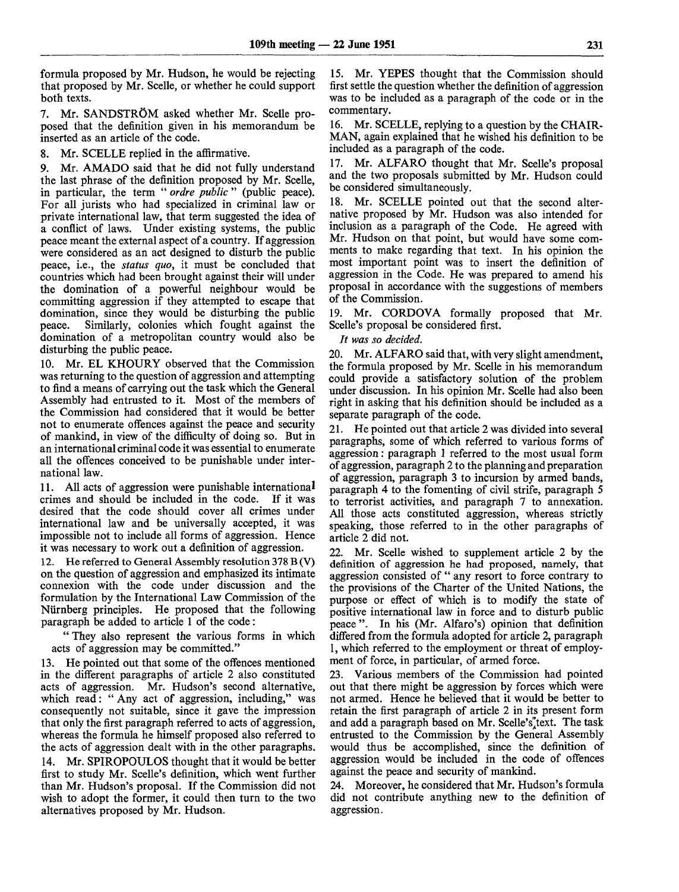formula proposed by Mr. Hudson, he would be rejecting that proposed by Mr. Scelle, or whether he could support both texts.

7. Mr. SANDSTRÖM asked whether Mr. Scelle proposed that the definition given in his memorandum be inserted as an article of the code.

8. Mr. SCELLE replied in the affirmative.

9. Mr. AMADO said that he did not fully understand the last phrase of the definition proposed by Mr. Scelle, in particular, the term " *ordre public* " (public peace). For all jurists who had specialized in criminal law or private international law, that term suggested the idea of a conflict of laws. Under existing systems, the public peace meant the external aspect of a country. If aggression were considered as an act designed to disturb the public peace, i.e., the *status quo,* it must be concluded that countries which had been brought against their will under the domination of a powerful neighbour would be committing aggression if they attempted to escape that domination, since they would be disturbing the public peace. Similarly, colonies which fought against the domination of a metropolitan country would also be disturbing the public peace.

10. Mr. EL KHOURY observed that the Commission was returning to the question of aggression and attempting to find a means of carrying out the task which the General Assembly had entrusted to it. Most of the members of the Commission had considered that it would be better not to enumerate offences against the peace and security of mankind, in view of the difficulty of doing so. But in an international criminal code it was essential to enumerate all the offences conceived to be punishable under international law.

11. All acts of aggression were punishable international crimes and should be included in the code. If it was desired that the code should cover all crimes under international law and be universally accepted, it was impossible not to include all forms of aggression. Hence it was necessary to work out a definition of aggression.

12. He referred to General Assembly resolution 378 B (V) on the question of aggression and emphasized its intimate connexion with the code under discussion and the formulation by the International Law Commission of the Niirnberg principles. He proposed that the following paragraph be added to article 1 of the code:

" They also represent the various forms in which acts of aggression may be committed."

13. He pointed out that some of the offences mentioned in the different paragraphs of article 2 also constituted acts of aggression. Mr. Hudson's second alternative, which read: " Any act of aggression, including," was consequently not suitable, since it gave the impression that only the first paragraph referred to acts of aggression, whereas the formula he himself proposed also referred to the acts of aggression dealt with in the other paragraphs. 14. Mr. SPIROPOULOS thought that it would be better first to study Mr. Scelle's definition, which went further than Mr. Hudson's proposal. If the Commission did not wish to adopt the former, it could then turn to the two alternatives proposed by Mr. Hudson.

15. Mr. YEPES thought that the Commission should first settle the question whether the definition of aggression was to be included as a paragraph of the code or in the commentary.

16. Mr. SCELLE, replying to a question by the CHAIR-MAN, again explained that he wished his definition to be included as a paragraph of the code.

17. Mr. ALFARO thought that Mr. Scelle's proposal and the two proposals submitted by Mr. Hudson could be considered simultaneously.

18. Mr. SCELLE pointed out that the second alternative proposed by Mr. Hudson was also intended for inclusion as a paragraph of the Code. He agreed with Mr. Hudson on that point, but would have some comments to make regarding that text. In his opinion the most important point was to insert the definition of aggression in the Code. He was prepared to amend his proposal in accordance with the suggestions of members of the Commission.

19. Mr. CORDOVA formally proposed that Mr. Scelle's proposal be considered first.

*It was so decided.*

20. Mr. ALFARO said that, with very slight amendment, the formula proposed by Mr. Scelle in his memorandum could provide a satisfactory solution of the problem under discussion. In his opinion Mr. Scelle had also been right in asking that his definition should be included as a separate paragraph of the code.

21. He pointed out that article 2 was divided into several paragraphs, some of which referred to various forms of aggression: paragraph 1 referred to the most usual form of aggression, paragraph 2 to the planning and preparation of aggression, paragraph 3 to incursion by armed bands, paragraph 4 to the fomenting of civil strife, paragraph 5 to terrorist activities, and paragraph 7 to annexation. All those acts constituted aggression, whereas strictly speaking, those referred to in the other paragraphs of article 2 did not.

22. Mr. Scelle wished to supplement article 2 by the definition of aggression he had proposed, namely, that aggression consisted of " any resort to force contrary to the provisions of the Charter of the United Nations, the purpose or effect of which is to modify the state of positive international law in force and to disturb public peace". In his (Mr. Alfaro's) opinion that definition differed from the formula adopted for article 2, paragraph 1, which referred to the employment or threat of employment of force, in particular, of armed force.

23. Various members of the Commission had pointed out that there might be aggression by forces which were not armed. Hence he believed that it would be better to retain the first paragraph of article 2 in its present form and add a paragraph based on Mr. Scelle's<sup>"</sup>text. The task entrusted to the Commission by the General Assembly would thus be accomplished, since the definition of aggression would be included in the code of offences against the peace and security of mankind.

24. Moreover, he considered that Mr. Hudson's formula did not contribute anything new to the definition of aggression.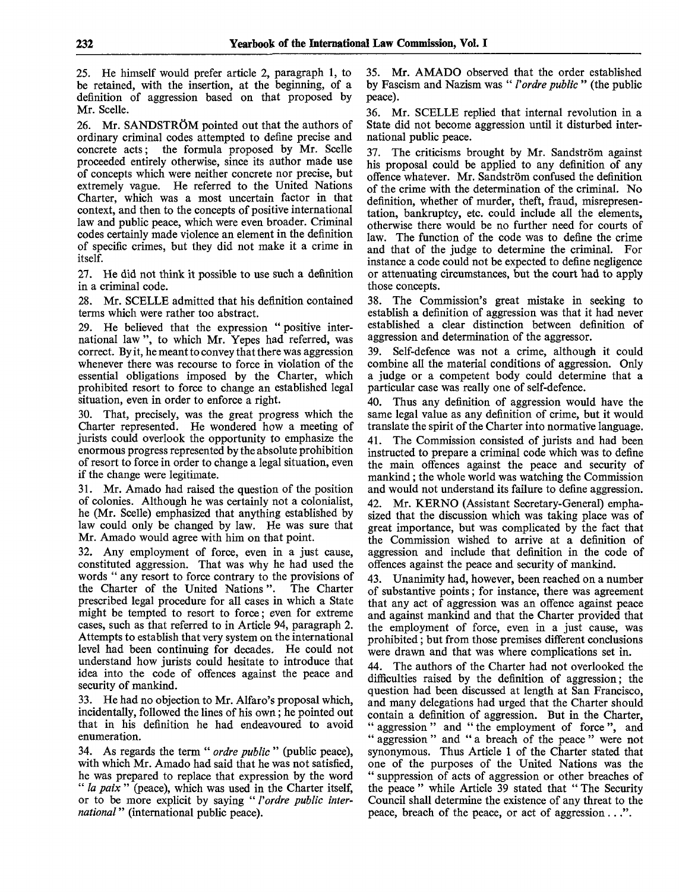25. He himself would prefer article 2, paragraph 1, to be retained, with the insertion, at the beginning, of a definition of aggression based on that proposed by Mr. Scelle.

26. Mr. SANDSTRÖM pointed out that the authors of ordinary criminal codes attempted to define precise and concrete acts; the formula proposed by Mr. Scelle proceeded entirely otherwise, since its author made use of concepts which were neither concrete nor precise, but extremely vague. He referred to the United Nations Charter, which was a most uncertain factor in that context, and then to the concepts of positive international law and public peace, which were even broader. Criminal codes certainly made violence an element in the definition of specific crimes, but they did not make it a crime in itself.

27. He did not think it possible to use such a definition in a criminal code.

28. Mr. SCELLE admitted that his definition contained terms which were rather too abstract.

29. He believed that the expression " positive international law ", to which Mr. Yepes had referred, was correct. By it, he meant to convey that there was aggression whenever there was recourse to force in violation of the essential obligations imposed by the Charter, which prohibited resort to force to change an established legal situation, even in order to enforce a right.

30. That, precisely, was the great progress which the Charter represented. He wondered how a meeting of jurists could overlook the opportunity to emphasize the enormous progress represented by the absolute prohibition of resort to force in order to change a legal situation, even if the change were legitimate.

31. Mr. Amado had raised the question of the position of colonies. Although he was certainly not a colonialist, he (Mr. Scelle) emphasized that anything established by law could only be changed by law. He was sure that Mr. Amado would agree with him on that point.

32. Any employment of force, even in a just cause, constituted aggression. That was why he had used the words " any resort to force contrary to the provisions of the Charter of the United Nations". The Charter prescribed legal procedure for all cases in which a State might be tempted to resort to force; even for extreme cases, such as that referred to in Article 94, paragraph 2. Attempts to establish that very system on the international level had been continuing for decades. He could not understand how jurists could hesitate to introduce that idea into the code of offences against the peace and security of mankind.

33. He had no objection to Mr. Alfaro's proposal which, incidentally, followed the lines of his own; he pointed out that in his definition he had endeavoured to avoid enumeration.

34. As regards the term " *ordre public* " (public peace), with which Mr. Amado had said that he was not satisfied, he was prepared to replace that expression by the word " *la paix* " (peace), which was used in the Charter itself, or to be more explicit by saying " *Vordre public international* " (international public peace).

35. Mr. AMADO observed that the order established by Fascism and Nazism was " *Vordre public "* (the public peace).

36. Mr. SCELLE replied that internal revolution in a State did not become aggression until it disturbed international public peace.

37. The criticisms brought by Mr. Sandström against his proposal could be applied to any definition of any offence whatever. Mr. Sandström confused the definition of the crime with the determination of the criminal. No definition, whether of murder, theft, fraud, misrepresentation, bankruptcy, etc. could include all the elements. otherwise there would be no further need for courts of law. The function of the code was to define the crime and that of the judge to determine the criminal. For instance a code could not be expected to define negligence or attenuating circumstances, but the court had to apply those concepts.

38. The Commission's great mistake in seeking to establish a definition of aggression was that it had never established a clear distinction between definition of aggression and determination of the aggressor.

39. Self-defence was not a crime, although it could combine all the material conditions of aggression. Only a judge or a competent body could determine that a particular case was really one of self-defence.

40. Thus any definition of aggression would have the same legal value as any definition of crime, but it would translate the spirit of the Charter into normative language.

41. The Commission consisted of jurists and had been instructed to prepare a criminal code which was to define the main offences against the peace and security of mankind; the whole world was watching the Commission and would not understand its failure to define aggression.

42. Mr. KERNO (Assistant Secretary-General) emphasized that the discussion which was taking place was of great importance, but was complicated by the fact that the Commission wished to arrive at a definition of aggression and include that definition in the code of offences against the peace and security of mankind.

43. Unanimity had, however, been reached on a number of substantive points; for instance, there was agreement that any act of aggression was an offence against peace and against mankind and that the Charter provided that the employment of force, even in a just cause, was prohibited; but from those premises different conclusions were drawn and that was where complications set in.

44. The authors of the Charter had not overlooked the difficulties raised by the definition of aggression; the question had been discussed at length at San Francisco, and many delegations had urged that the Charter should contain a definition of aggression. But in the Charter, " aggression " and " the employment of force", and " aggression " and " a breach of the peace " were not synonymous. Thus Article 1 of the Charter stated that one of the purposes of the United Nations was the " suppression of acts of aggression or other breaches of the peace " while Article 39 stated that " The Security Council shall determine the existence of any threat to the peace, breach of the peace, or act of aggression ...".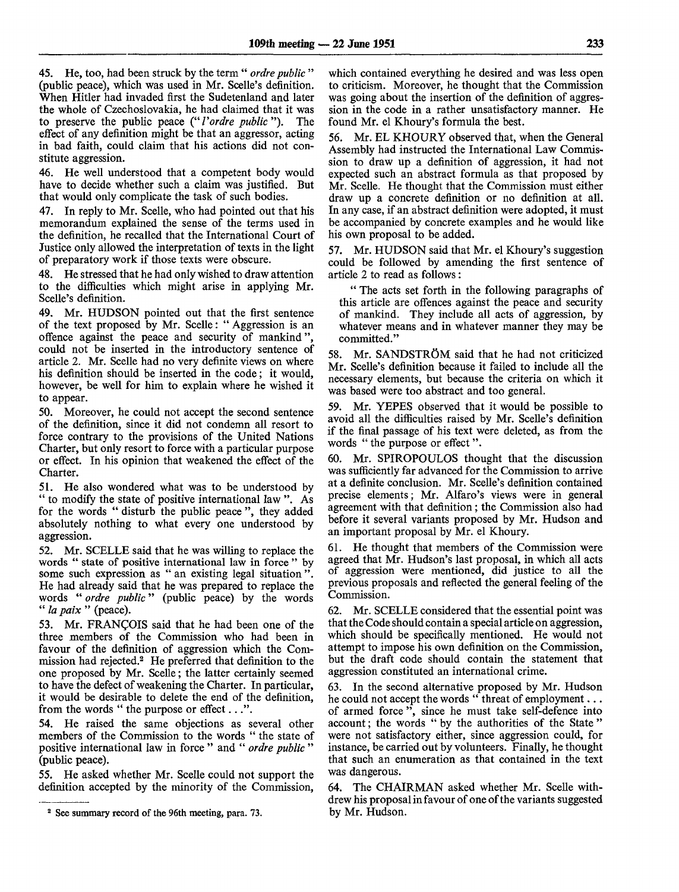45. He, too, had been struck by the term " *ordre public* " (public peace), which was used in Mr. Scelle's definition. When Hitler had invaded first the Sudetenland and later the whole of Czechoslovakia, he had claimed that it was to preserve the public peace (" *Vordre public* "). The effect of any definition might be that an aggressor, acting in bad faith, could claim that his actions did not constitute aggression.

46. He well understood that a competent body would have to decide whether such a claim was justified. But that would only complicate the task of such bodies.

47. In reply to Mr. Scelle, who had pointed out that his memorandum explained the sense of the terms used in the definition, he recalled that the International Court of Justice only allowed the interpretation of texts in the light of preparatory work if those texts were obscure.

48. He stressed that he had only wished to draw attention to the difficulties which might arise in applying Mr. Scelle's definition.

49. Mr. HUDSON pointed out that the first sentence of the text proposed by Mr. Scelle: " Aggression is an offence against the peace and security of mankind", could not be inserted in the introductory sentence of article 2. Mr. Scelle had no very definite views on where his definition should be inserted in the code; it would, however, be well for him to explain where he wished it to appear.

50. Moreover, he could not accept the second sentence of the definition, since it did not condemn all resort to force contrary to the provisions of the United Nations Charter, but only resort to force with a particular purpose or effect. In his opinion that weakened the effect of the Charter.

51. He also wondered what was to be understood by " to modify the state of positive international law ". As for the words " disturb the public peace ", they added absolutely nothing to what every one understood by aggression.

52. Mr. SCELLE said that he was willing to replace the words " state of positive international law in force " by some such expression as " an existing legal situation ". He had already said that he was prepared to replace the words " *ordre public*" (public peace) by the words " la paix " (peace).

53. Mr. FRANCOIS said that he had been one of the three members of the Commission who had been in favour of the definition of aggression which the Commission had rejected.<sup>2</sup> He preferred that definition to the one proposed by Mr. Scelle; the latter certainly seemed to have the defect of weakening the Charter. In particular, it would be desirable to delete the end of the definition, from the words " the purpose or effect...".

54. He raised the same objections as several other members of the Commission to the words " the state of positive international law in force " and " *ordre public* " (public peace).

55. He asked whether Mr. Scelle could not support the definition accepted by the minority of the Commission,

which contained everything he desired and was less open to criticism. Moreover, he thought that the Commission was going about the insertion of the definition of aggression in the code in a rather unsatisfactory manner. He found Mr. el Khoury's formula the best.

56. Mr. EL KHOURY observed that, when the General Assembly had instructed the International Law Commission to draw up a definition of aggression, it had not expected such an abstract formula as that proposed by Mr. Scelle. He thought that the Commission must either draw up a concrete definition or no definition at all. In any case, if an abstract definition were adopted, it must be accompanied by concrete examples and he would like his own proposal to be added.

57. Mr. HUDSON said that Mr. el Khoury's suggestion could be followed by amending the first sentence of article 2 to read as follows:

" The acts set forth in the following paragraphs of this article are offences against the peace and security of mankind. They include all acts of aggression, by whatever means and in whatever manner they may be committed."

58. Mr. SANDSTRÖM said that he had not criticized Mr. Scelle's definition because it failed to include all the necessary elements, but because the criteria on which it was based were too abstract and too general.

59. Mr. YEPES observed that it would be possible to avoid all the difficulties raised by Mr. Scelle's definition if the final passage of his text were deleted, as from the words " the purpose or effect".

60. Mr. SPIROPOULOS thought that the discussion was sufficiently far advanced for the Commission to arrive at a definite conclusion. Mr. Scelle's definition contained precise elements; Mr. Alfaro's views were in general agreement with that definition; the Commission also had before it several variants proposed by Mr. Hudson and an important proposal by Mr. el Khoury.

61. He thought that members of the Commission were agreed that Mr. Hudson's last proposal, in which all acts of aggression were mentioned, did justice to all the previous proposals and reflected the general feeling of the Commission.

62. Mr. SCELLE considered that the essential point was that the Code should contain a special article on aggression, which should be specifically mentioned. He would not attempt to impose his own definition on the Commission, but the draft code should contain the statement that aggression constituted an international crime.

In the second alternative proposed by Mr. Hudson he could not accept the words " threat of employment . . . of armed force ", since he must take self-defence into account; the words " by the authorities of the State " were not satisfactory either, since aggression could, for instance, be carried out by volunteers. Finally, he thought that such an enumeration as that contained in the text was dangerous.

64. The CHAIRMAN asked whether Mr. Scelle withdrew his proposal in favour of one of the variants suggested by Mr. Hudson.

<sup>&</sup>lt;sup>2</sup> See summary record of the 96th meeting, para. 73.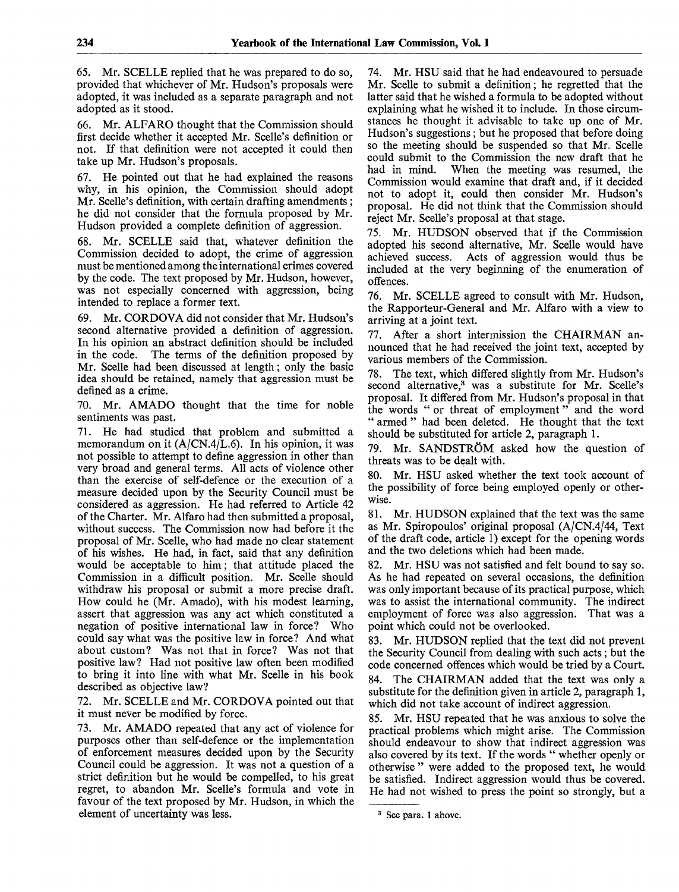65. Mr. SCELLE replied that he was prepared to do so, provided that whichever of Mr. Hudson's proposals were adopted, it was included as a separate paragraph and not adopted as it stood.

66. Mr. ALFARO thought that the Commission should first decide whether it accepted Mr. Scelle's definition or not. If that definition were not accepted it could then take up Mr. Hudson's proposals.

67. He pointed out that he had explained the reasons why, in his opinion, the Commission should adopt Mr. Scelle's definition, with certain drafting amendments; he did not consider that the formula proposed by Mr. Hudson provided a complete definition of aggression.

68. Mr. SCELLE said that, whatever definition the Commission decided to adopt, the crime of aggression must be mentioned among the international crimes covered by the code. The text proposed by Mr. Hudson, however, was not especially concerned with aggression, being intended to replace a former text.

69. Mr. CORDOVA did not consider that Mr. Hudson's second alternative provided a definition of aggression. In his opinion an abstract definition should be included in the code. The terms of the definition proposed by Mr. Scelle had been discussed at length; only the basic idea should be retained, namely that aggression must be defined as a crime.

70. Mr. AMADO thought that the time for noble sentiments was past.

71. He had studied that problem and submitted a memorandum on it  $(A/CN.4/L.6)$ . In his opinion, it was not possible to attempt to define aggression in other than very broad and general terms. All acts of violence other than the exercise of self-defence or the execution of a measure decided upon by the Security Council must be considered as aggression. He had referred to Article 42 of the Charter. Mr. Alfaro had then submitted a proposal, without success. The Commission now had before it the proposal of Mr. Scelle, who had made no clear statement of his wishes. He had, in fact, said that any definition would be acceptable to him; that attitude placed the Commission in a difficult position. Mr. Scelle should withdraw his proposal or submit a more precise draft. How could he (Mr. Amado), with his modest learning, assert that aggression was any act which constituted a negation of positive international law in force? Who could say what was the positive law in force? And what about custom? Was not that in force? Was not that positive law? Had not positive law often been modified to bring it into line with what Mr. Scelle in his book described as objective law?

72. Mr. SCELLE and Mr. CORDOVA pointed out that it must never be modified by force.

73. Mr. AMADO repeated that any act of violence for purposes other than self-defence or the implementation of enforcement measures decided upon by the Security Council could be aggression. It was not a question of a strict definition but he would be compelled, to his great regret, to abandon Mr. Scelle's formula and vote in favour of the text proposed by Mr. Hudson, in which the element of uncertainty was less.

74. Mr. HSU said that he had endeavoured to persuade Mr. Scelle to submit a definition; he regretted that the latter said that he wished a formula to be adopted without explaining what he wished it to include. In those circumstances he thought it advisable to take up one of Mr. Hudson's suggestions; but he proposed that before doing so the meeting should be suspended so that Mr. Scelle could submit to the Commission the new draft that he had in mind. When the meeting was resumed, the Commission would examine that draft and, if it decided not to adopt it, could then consider Mr. Hudson's proposal. He did not think that the Commission should reject Mr. Scelle's proposal at that stage.

75. Mr. HUDSON observed that if the Commission adopted his second alternative, Mr. Scelle would have achieved success. Acts of aggression would thus be included at the very beginning of the enumeration of offences.

76. Mr. SCELLE agreed to consult with Mr. Hudson, the Rapporteur-General and Mr. Alfaro with a view to arriving at a joint text.

77. After a short intermission the CHAIRMAN announced that he had received the joint text, accepted by various members of the Commission.

78. The text, which differed slightly from Mr. Hudson's second alternative,<sup>3</sup> was a substitute for Mr. Scelle's proposal. It differed from Mr. Hudson's proposal in that the words " or threat of employment" and the word " armed " had been deleted. He thought that the text should be substituted for article 2, paragraph 1.

79. Mr. SANDSTRÖM asked how the question of threats was to be dealt with.

80. Mr. HSU asked whether the text took account of the possibility of force being employed openly or otherwise.

81. Mr. HUDSON explained that the text was the same as Mr. Spiropoulos' original proposal (A/CN.4/44, Text of the draft code, article 1) except for the opening words and the two deletions which had been made.

82. Mr. HSU was not satisfied and felt bound to say so. As he had repeated on several occasions, the definition was only important because of its practical purpose, which was to assist the international community. The indirect employment of force was also aggression. That was a point which could not be overlooked.

83. Mr. HUDSON replied that the text did not prevent the Security Council from dealing with such acts; but the code concerned offences which would be tried by a Court.

84. The CHAIRMAN added that the text was only a substitute for the definition given in article 2, paragraph 1, which did not take account of indirect aggression.

85. Mr. HSU repeated that he was anxious to solve the practical problems which might arise. The Commission should endeavour to show that indirect aggression was also covered by its text. If the words " whether openly or otherwise " were added to the proposed text, he would be satisfied. Indirect aggression would thus be covered. He had not wished to press the point so strongly, but a

<sup>&</sup>lt;sup>3</sup> See para. 1 above.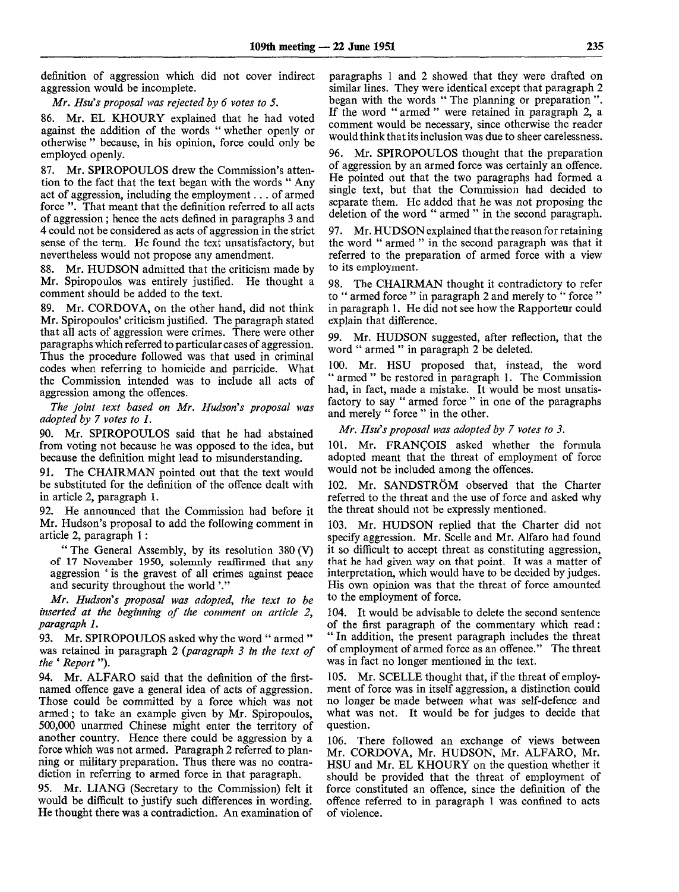definition of aggression which did not cover indirect aggression would be incomplete.

*Mr. Hsu's proposal was rejected by 6 votes to 5.*

86. Mr. EL KHOURY explained that he had voted against the addition of the words " whether openly or otherwise " because, in his opinion, force could only be employed openly.

87. Mr. SPIROPOULOS drew the Commission's attention to the fact that the text began with the words " Any act of aggression, including the employment... of armed force ". That meant that the definition referred to all acts of aggression; hence the acts defined in paragraphs 3 and 4 could not be considered as acts of aggression in the strict sense of the term. He found the text unsatisfactory, but nevertheless would not propose any amendment.

88. Mr. HUDSON admitted that the criticism made by Mr. Spiropoulos was entirely justified. He thought a comment should be added to the *text*

89. Mr. CORDOVA, on the other hand, did not think Mr. Spiropoulos' criticism justified. The paragraph stated that all acts of aggression were crimes. There were other paragraphs which referred to particular cases of aggression. Thus the procedure followed was that used in criminal codes when referring to homicide and parricide. What the Commission intended was to include all acts of aggression among the offences.

*The joint text based on Mr. Hudson's proposal was adopted by 7 votes to 1.*

90. Mr. SPIROPOULOS said that he had abstained from voting not because he was opposed to the idea, but because the definition might lead to misunderstanding.

91. The CHAIRMAN pointed out that the text would be substituted for the definition of the offence dealt with in article 2, paragraph 1.

92. He announced that the Commission had before it Mr. Hudson's proposal to add the following comment in article 2, paragraph 1:

" The General Assembly, by its resolution 380 (V) of 17 November 1950, solemnly reaffirmed that any aggression ' is the gravest of all crimes against peace and security throughout the world'."

*Mr. Hudson's proposal was adopted, the text to be inserted at the beginning of the comment on article 2, paragraph 1.*

93. Mr. SPIROPOULOS asked why the word " armed " was retained in paragraph 2 *{paragraph 3 in the text of the ' Report*").

94. Mr. ALFARO said that the definition of the firstnamed offence gave a general idea of acts of aggression. Those could be committed by a force which was not armed; to take an example given by Mr. Spiropoulos, 500,000 unarmed Chinese might enter the territory of another country. Hence there could be aggression by a force which was not armed. Paragraph 2 referred to planning or military preparation. Thus there was no contradiction in referring to armed force in that paragraph.

95. Mr. LIANG (Secretary to the Commission) felt it would be difficult to justify such differences in wording. He thought there was a contradiction. An examination of paragraphs 1 and 2 showed that they were drafted on similar lines. They were identical except that paragraph 2 began with the words " The planning or preparation ". If the word " armed " were retained in paragraph 2, a comment would be necessary, since otherwise the reader would think that its inclusion was due to sheer carelessness.

96. Mr. SPIROPOULOS thought that the preparation of aggression by an armed force was certainly an offence. He pointed out that the two paragraphs had formed a single text, but that the Commission had decided to separate them. He added that he was not proposing the deletion of the word " armed " in the second paragraph.

97. Mr. HUDSON explained that the reason for retaining the word " armed " in the second paragraph was that it referred to the preparation of armed force with a view to its employment.

98. The CHAIRMAN thought it contradictory to refer to " armed force " in paragraph 2 and merely to " force " in paragraph 1. He did not see how the Rapporteur could explain that difference.

99. Mr. HUDSON suggested, after reflection, that the word " armed " in paragraph 2 be deleted.

100. Mr. HSU proposed that, instead, the word " armed " be restored in paragraph 1. The Commission had, in fact, made a mistake. It would be most unsatisfactory to say " armed force " in one of the paragraphs and merely " force " in the other.

*Mr. Hsu's proposal was adopted by 7 votes to 3.*

101. Mr. FRANCOIS asked whether the formula adopted meant that the threat of employment of force would not be included among the offences.

102. Mr. SANDSTROM observed that the Charter referred to the threat and the use of force and asked why the threat should not be expressly mentioned.

103. Mr. HUDSON replied that the Charter did not specify aggression. Mr. Scelle and Mr. Alfaro had found it so difficult to accept threat as constituting aggression, that he had given way on that point. It was a matter of interpretation, which would have to be decided by judges. His own opinion was that the threat of force amounted to the employment of force.

104. It would be advisable to delete the second sentence of the first paragraph of the commentary which read: " In addition, the present paragraph includes the threat of employment of armed force as an offence." The threat was in fact no longer mentioned in the text.

105. Mr. SCELLE thought that, if the threat of employment of force was in itself aggression, a distinction could no longer be made between what was self-defence and what was not. It would be for judges to decide that question.

106. There followed an exchange of views between Mr. CORDOVA, Mr. HUDSON, Mr. ALFARO, Mr. HSU and Mr. EL KHOURY on the question whether it should be provided that the threat of employment of force constituted an offence, since the definition of the offence referred to in paragraph 1 was confined to acts of violence.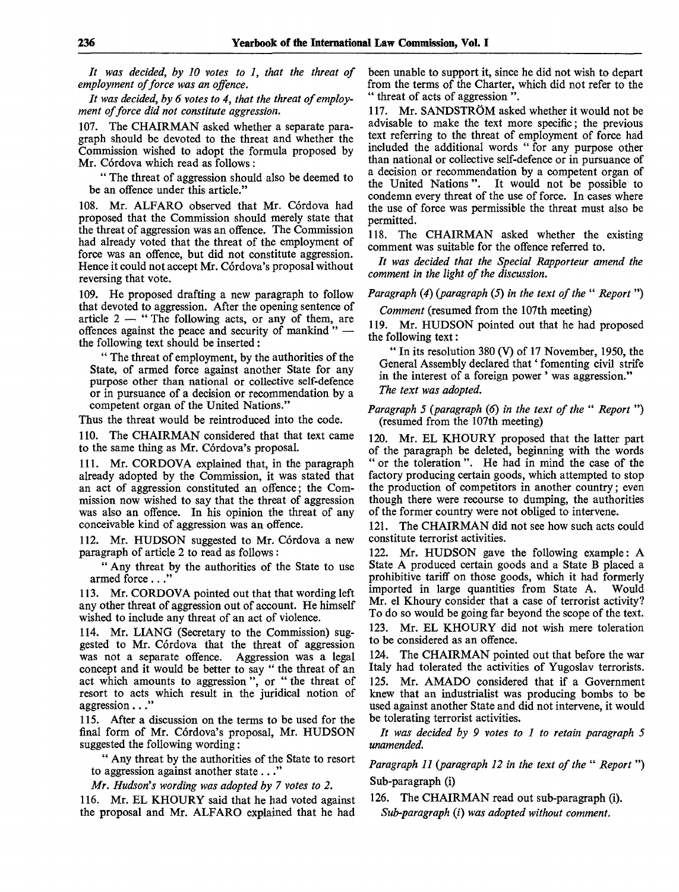*It was decided, by 10 votes to 1, that the threat of employment of force was an offence.*

*It was decided, by 6 votes to 4, that the threat of employment of force did not constitute aggression.*

107. The CHAIRMAN asked whether a separate paragraph should be devoted to the threat and whether the Commission wished to adopt the formula proposed by Mr. Córdova which read as follows:

" The threat of aggression should also be deemed to be an offence under this article."

108. Mr. ALFARO observed that Mr. Córdova had proposed that the Commission should merely state that the threat of aggression was an offence. The Commission had already voted that the threat of the employment of force was an offence, but did not constitute aggression. Hence it could not accept Mr. Córdova's proposal without reversing that vote.

109. He proposed drafting a new paragraph to follow that devoted to aggression. After the opening sentence of article 2 — " The following acts, or any of them, are offences against the peace and security of mankind " the following text should be inserted:

" The threat of employment, by the authorities of the State, of armed force against another State for any purpose other than national or collective self-defence or in pursuance of a decision or recommendation by a competent organ of the United Nations."

Thus the threat would be reintroduced into the code.

110. The CHAIRMAN considered that that text came to the same thing as Mr. Córdova's proposal.

111. Mr. CORDOVA explained that, in the paragraph already adopted by the Commission, it was stated that an act of aggression constituted an offence; the Commission now wished to say that the threat of aggression was also an offence. In his opinion the threat of any conceivable kind of aggression was an offence.

112. Mr. HUDSON suggested to Mr. Córdova a new paragraph of article 2 to read as follows :

" Any threat by the authorities of the State to use armed force..."

113. Mr. CORDOVA pointed out that that wording left any other threat of aggression out of account. He himself wished to include any threat of an act of violence.

114. Mr. LIANG (Secretary to the Commission) suggested to Mr. Cordova that the threat of aggression was not a separate offence. Aggression was a legal concept and it would be better to say " the threat of an act which amounts to aggression ", or " the threat of resort to acts which result in the juridical notion of aggression..."

115. After a discussion on the terms to be used for the final form of Mr. Córdova's proposal, Mr. HUDSON suggested the following wording:

" Any threat by the authorities of the State to resort to aggression against another state ... "

*Mr. Hudson's wording was adopted by 7 votes to 2.*

116. Mr. EL KHOURY said that he had voted against the proposal and Mr. ALFARO explained that he had been unable to support it, since he did not wish to depart from the terms of the Charter, which did not refer to the " threat of acts of aggression".

117. Mr. SANDSTRÖM asked whether it would not be advisable to make the text more specific; the previous text referring to the threat of employment of force had included the additional words " for any purpose other than national or collective self-defence or in pursuance of a decision or recommendation by a competent organ of the United Nations". It would not be possible to condemn every threat of the use of force. In cases where the use of force was permissible the threat must also be permitted.

118. The CHAIRMAN asked whether the existing comment was suitable for the offence referred to.

*It was decided that the Special Rapporteur amend the comment in the light of the discussion.*

*Paragraph (4) (paragraph* (5) *in the text of the* " *Report ")*

*Comment* (resumed from the 107th meeting)

119. Mr. HUDSON pointed out that he had proposed the following text:

" In its resolution 380 (V) of 17 November, 1950, the General Assembly declared that' fomenting civil strife in the interest of a foreign power ' was aggression." *The text was adopted.*

### *Paragraph 5 (paragraph (6) in the text of the " Report* ") (resumed from the 107th meeting)

120. Mr. EL KHOURY proposed that the latter part of the paragraph be deleted, beginning with the words " or the toleration ". He had in mind the case of the factory producing certain goods, which attempted to stop the production of competitors in another country; even though there were recourse to dumping, the authorities of the former country were not obliged to intervene.

121. The CHAIRMAN did not see how such acts could constitute terrorist activities.

122. Mr. HUDSON gave the following example: A State A produced certain goods and a State B placed a prohibitive tariff on those goods, which it had formerly imported in large quantities from State A. Would Mr. el Khoury consider that a case of terrorist activity? To do so would be going far beyond the scope of the text. 123. Mr. EL KHOURY did not wish mere toleration to be considered as an offence.

124. The CHAIRMAN pointed out that before the war Italy had tolerated the activities of Yugoslav terrorists. 125. Mr. AMADO considered that if a Government knew that an industrialist was producing bombs to be used against another State and did not intervene, it would be tolerating terrorist activities.

*It was decided by 9 votes to 1 to retain paragraph 5 unamended.*

*Paragraph 11 {paragraph 12 in the text of the* " *Report* ") Sub-paragraph (i)

126. The CHAIRMAN read out sub-paragraph (i). *Sub-paragraph* (*i*) was adopted without comment.